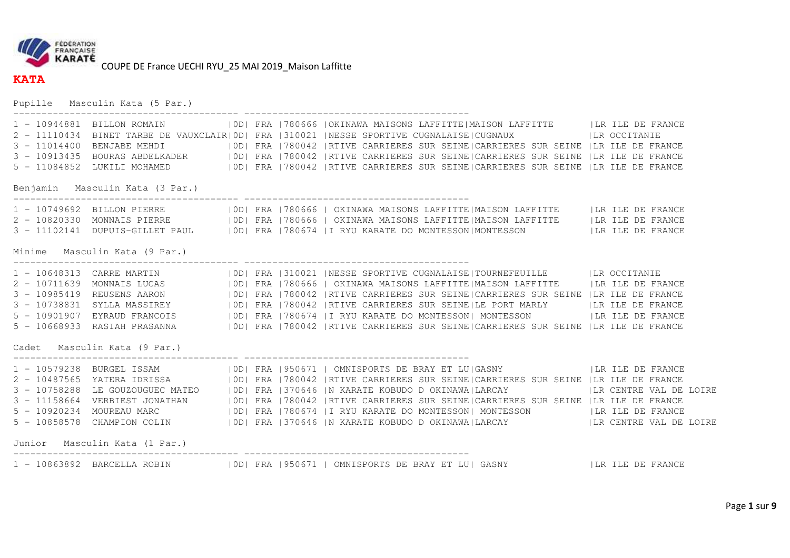

**KATA** 

COUPE DE France UECHI RYU\_25 MAI 2019\_Maison Laffitte

Pupille Masculin Kata (5 Par.)

| 3 - 10913435 |                                 |  | 1 - 10944881 BILLON ROMAIN   OD  FRA   780666   OKINAWA MAISONS LAFFITTE   MAISON LAFFITTE     LR ILE DE FRANCE<br>2 - 11110434 BINET TARBE DE VAUXCLAIR  0D  FRA   310021   NESSE SPORTIVE CUGNALAISE   CUGNAUX   LR OCCITANIE<br>3 - 11014400 BENJABE MEHDI   0D  FRA   780042   RTIVE CARRIERES SUR SEINE   CARRIERES SUR SEINE   LR ILE DE FRANCE<br>BOURAS ABDELKADER   0D  FRA   780042   RTIVE CARRIERES SUR SEINE  CARRIERES SUR SEINE   LR ILE DE FRANCE<br>5 - 11084852 LUKILI MOHAMED   OD  FRA   780042   RTIVE CARRIERES SUR SEINE  CARRIERES SUR SEINE   LR ILE DE FRANCE                                                                                                    |  |
|--------------|---------------------------------|--|--------------------------------------------------------------------------------------------------------------------------------------------------------------------------------------------------------------------------------------------------------------------------------------------------------------------------------------------------------------------------------------------------------------------------------------------------------------------------------------------------------------------------------------------------------------------------------------------------------------------------------------------------------------------------------------------|--|
|              | Benjamin Masculin Kata (3 Par.) |  |                                                                                                                                                                                                                                                                                                                                                                                                                                                                                                                                                                                                                                                                                            |  |
|              |                                 |  | 3 - 11102141 DUPUIS-GILLET PAUL   OD  FRA   780674   I RYU KARATE DO MONTESSON  MONTESSON     LR ILE DE FRANCE                                                                                                                                                                                                                                                                                                                                                                                                                                                                                                                                                                             |  |
|              | Minime Masculin Kata (9 Par.)   |  |                                                                                                                                                                                                                                                                                                                                                                                                                                                                                                                                                                                                                                                                                            |  |
|              |                                 |  | 1 - 10648313 CARRE MARTIN   0D  FRA   310021   NESSE SPORTIVE CUGNALAISE   TOURNEFEUILLE   LR OCCITANIE<br>2 - 10711639 MONNAIS LUCAS (OD) FRA 780666 OKINAWA MAISONS LAFFITTE MAISON LAFFITTE (LR ILE DE FRANCE)<br>3 - 10985419 REUSENS AARON (OD) FRA 780042  RTIVE CARRIERES SUR SEINE CARRIERES SUR SEINE  LR ILE DE FRANCE<br>3 - 10738831 SYLLA MASSIREY   0D  FRA   780042   RTIVE CARRIERES SUR SEINE  LE PORT MARLY   LR ILE DE FRANCE<br>5 - 10901907 EYRAUD FRANCOIS   OD  FRA   780674   I RYU KARATE DO MONTESSON   MONTESSON     LR ILE DE FRANCE<br>5 - 10668933 RASIAH PRASANNA     OD  FRA   780042   RTIVE CARRIERES SUR SEINE   CARRIERES SUR SEINE   LR ILE DE FRANCE |  |
|              | Cadet Masculin Kata (9 Par.)    |  |                                                                                                                                                                                                                                                                                                                                                                                                                                                                                                                                                                                                                                                                                            |  |
|              | Junior Masculin Kata (1 Par.)   |  | 1 - 10579238 BURGEL ISSAM   OD  FRA   950671   OMNISPORTS DE BRAY ET LU GASNY     LA ILE DE FRANCE<br>2 - 10487565 YATERA IDRISSA   OD  FRA   780042   RTIVE CARRIERES SUR SEINE  CARRIERES SUR SEINE   LR ILE DE FRANCE<br>3 - 10758288 LE GOUZOUGUEC MATEO (IODI FRA 1370646 IN KARATE KOBUDO DOKINAWAILARCAY ) ILR CENTRE VAL DE LOIRE<br>3 - 11158664 VERBIEST JONATHAN (IODI FRA 1780042 IRTIVE CARRIERES SUR SEINE CARRIERES SUR SEINE  LR ILE DE FRANC<br>5 - 10858578 CHAMPION COLIN   OD  FRA   370646   N KARATE KOBUDO D OKINAWA  LARCAY     LR CENTRE VAL DE LOIRE                                                                                                             |  |
|              |                                 |  |                                                                                                                                                                                                                                                                                                                                                                                                                                                                                                                                                                                                                                                                                            |  |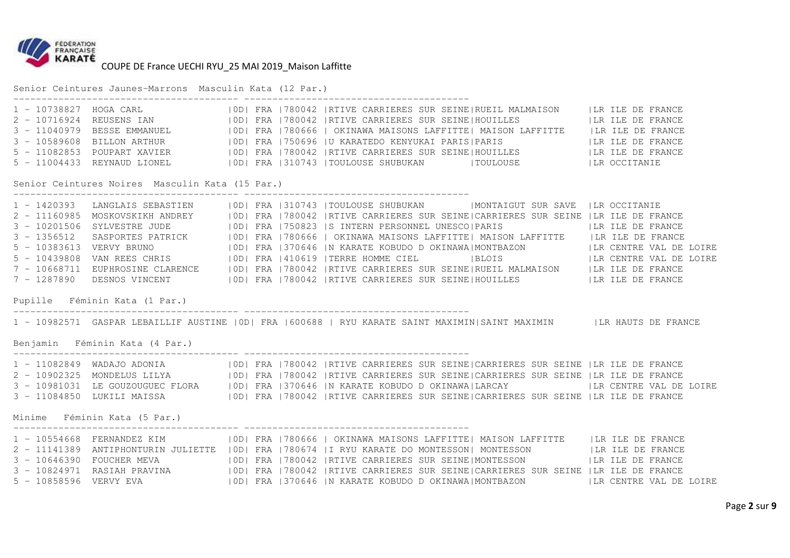

Senior Ceintures Jaunes-Marrons Masculin Kata (12 Par.)

| 1 - 10738827 HOGA CARL   |                             |  | OD   FRA   780042   RTIVE CARRIERES SUR SEINE   RUEIL MALMAISON | ILR ILE DE FRANCE |
|--------------------------|-----------------------------|--|-----------------------------------------------------------------|-------------------|
| 2 - 10716924 REUSENS IAN |                             |  | OD  FRA   780042   RTIVE CARRIERES SUR SEINE   HOUILLES         | ILR ILE DE FRANCE |
|                          | 3 - 11040979 BESSE EMMANUEL |  | OD   FRA   780666   OKINAWA MAISONS LAFFITTE   MAISON LAFFITTE  | ILR ILE DE FRANCE |
|                          | 3 - 10589608 BILLON ARTHUR  |  | OD   FRA   750696   U KARATEDO KENYUKAI PARIS   PARIS           | ILR ILE DE FRANCE |
|                          | 5 - 11082853 POUPART XAVIER |  | OD  FRA   780042   RTIVE CARRIERES SUR SEINE   HOUILLES         | ILR ILE DE FRANCE |
|                          | 5 - 11004433 REYNAUD LIONEL |  | 10D1 FRA 1310743 ITOULOUSE SHUBUKAN<br> TOULOUSE                | ILR OCCITANIE     |

Senior Ceintures Noires Masculin Kata (15 Par.)

---------------------------------------- ----------------------------------------

---------------------------------------- ----------------------------------------

---------------------------------------- ----------------------------------------

|                          | 1 - 1420393 LANGLAIS SEBASTIEN   |  | OD  FRA   310743   TOULOUSE SHUBUKAN   MONTAIGUT SUR SAVE   LR OCCITANIE             |                   |                         |
|--------------------------|----------------------------------|--|--------------------------------------------------------------------------------------|-------------------|-------------------------|
|                          | 2 - 11160985 MOSKOVSKIKH ANDREY  |  | OD  FRA   780042   RTIVE CARRIERES SUR SEINE  CARRIERES SUR SEINE   LR ILE DE FRANCE |                   |                         |
|                          | 3 - 10201506 SYLVESTRE JUDE      |  | 10D1 FRA 1750823 IS INTERN PERSONNEL UNESCO1PARIS                                    | ILR ILE DE FRANCE |                         |
|                          | 3 - 1356512 SASPORTES PATRICK    |  | OD  FRA   780666   OKINAWA MAISONS LAFFITTE  MAISON LAFFITTE                         | ILR ILE DE FRANCE |                         |
| 5 - 10383613 VERVY BRUNO |                                  |  | OD   FRA   370646   N KARATE KOBUDO D OKINAWA   MONTBAZON                            |                   | ILR CENTRE VAL DE LOIRE |
|                          | 5 - 10439808  VAN REES CHRIS     |  | OD  FRA   410619   TERRE HOMME CIEL   BLOIS                                          |                   | LR CENTRE VAL DE LOIRE  |
|                          | 7 - 10668711 EUPHROSINE CLARENCE |  | [OD] FRA 1780042   RTIVE CARRIERES SUR SEINE   RUEIL MALMAISON                       | ILR ILE DE FRANCE |                         |
| 7 - 1287890              | DESNOS VINCENT                   |  | 10D1 FRA 1780042 IRTIVE CARRIERES SUR SEINE HOUILLES                                 | ILR ILE DE FRANCE |                         |

Pupille Féminin Kata (1 Par.)

1 - 10982571 GASPAR LEBAILLIF AUSTINE |0D| FRA |600688 | RYU KARATE SAINT MAXIMIN|SAINT MAXIMIN |LR HAUTS DE FRANCE

Benjamin Féminin Kata (4 Par.)

|                                  |  |  |  | [OD] FRA 1780042  RTIVE CARRIERES SUR SEINE CARRIERES SUR SEINE  LR ILE DE FRANCE |  |  |                         |
|----------------------------------|--|--|--|-----------------------------------------------------------------------------------|--|--|-------------------------|
| 2 - 10902325 MONDELUS LILYA      |  |  |  | [OD] FRA 1780042  RTIVE CARRIERES SUR SEINE CARRIERES SUR SEINE  LR ILE DE FRANCE |  |  |                         |
| 3 - 10981031 LE GOUZOUGUEC FLORA |  |  |  | OD  FRA   370646   N KARATE KOBUDO D OKINAWA  LARCAY                              |  |  | ILR CENTRE VAL DE LOIRE |
| 3 - 11084850  LUKILI MAISSA      |  |  |  | [OD] FRA 1780042  RTIVE CARRIERES SUR SEINE CARRIERES SUR SEINE  LR ILE DE FRANCE |  |  |                         |

Minime Féminin Kata (5 Par.)

|                        | 1 - 10554668 FERNANDEZ KIM          |  | OD   FRA   780666   OKINAWA MAISONS LAFFITTE   MAISON LAFFITTE                       |  | ILR ILE DE FRANCE       |
|------------------------|-------------------------------------|--|--------------------------------------------------------------------------------------|--|-------------------------|
|                        | 2 - 11141389 ANTIPHONTURIN JULIETTE |  | OD   FRA   780674   I RYU KARATE DO MONTESSON   MONTESSON                            |  | ILR ILE DE FRANCE       |
|                        | 3 - 10646390 FOUCHER MEVA           |  | OD  FRA  780042  RTIVE CARRIERES SUR SEINE MONTESSON                                 |  | LR ILE DE FRANCE        |
|                        | 3 - 10824971 RASIAH PRAVINA         |  | OD  FRA   780042   RTIVE CARRIERES SUR SEINE  CARRIERES SUR SEINE   LR ILE DE FRANCE |  |                         |
| 5 - 10858596 VERVY EVA |                                     |  | OD   FRA   370646   N KARATE KOBUDO D OKINAWA   MONTBAZON                            |  | ILR CENTRE VAL DE LOIRE |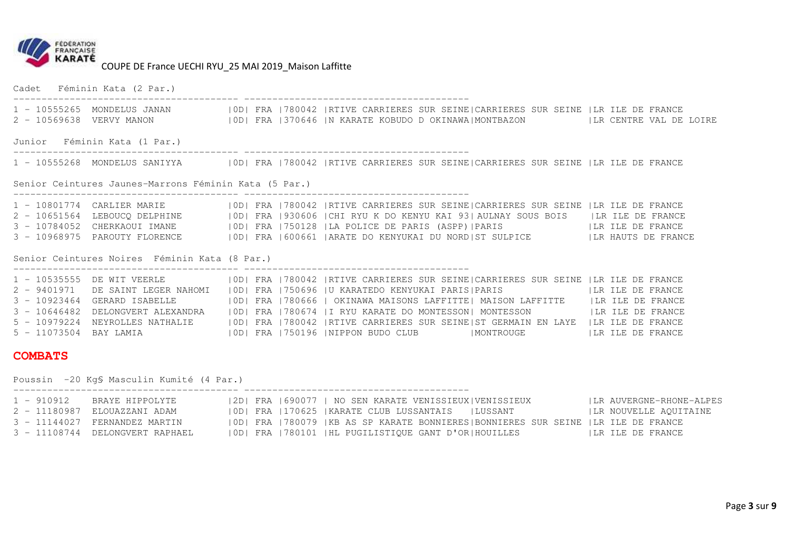

Cadet Féminin Kata (2 Par.) ---------------------------------------- ---------------------------------------- 1 - 10555265 MONDELUS JANAN |0D| FRA |780042 |RTIVE CARRIERES SUR SEINE|CARRIERES SUR SEINE |LR ILE DE FRANCE 2 - 10569638 VERVY MANON |OD| FRA |370646 |N KARATE KOBUDO D OKINAWA|MONTBAZON |LR CENTRE VAL DE LOIRE Junior Féminin Kata (1 Par.) ---------------------------------------- ---------------------------------------- 1 - 10555268 MONDELUS SANIYYA |0D| FRA |780042 |RTIVE CARRIERES SUR SEINE|CARRIERES SUR SEINE |LR ILE DE FRANCE Senior Ceintures Jaunes-Marrons Féminin Kata (5 Par.) ---------------------------------------- ---------------------------------------- 1 - 10801774 CARLIER MARIE |0D| FRA |780042 |RTIVE CARRIERES SUR SEINE|CARRIERES SUR SEINE |LR ILE DE FRANCE<br>2 - 10651564 LEBOUCQ DELPHINE |0D| FRA |930606 |CHI RYU K DO KENYU KAI 93|AULNAY SOUS BOIS 3 - 10784052 CHERKAOUI IMANE |0D| FRA |750128 |LA POLICE DE PARIS (ASPP)|PARIS |LR ILE DE FRANCE<br>3 - 10968975 PAROUTY FLORENCE |0D| FRA |600661 |ARATE DO KENYUKAI DU NORD|ST SULPICE Senior Ceintures Noires Féminin Kata (8 Par.) ---------------------------------------- ---------------------------------------- 1 - 10535555 DE WIT VEERLE |0D| FRA |780042 |RTIVE CARRIERES SUR SEINE|CARRIERES SUR SEINE |LR ILE DE FRANCE 2 - 9401971 DE SAINT LEGER NAHOMI |OD| FRA |750696 |U KARATEDO KENYUKAI PARIS|PARIS |LR ILE DE FRANCE 3 - 10923464 GERARD ISABELLE |0D| FRA |780666 | OKINAWA MAISONS LAFFITTE| MAISON LAFFITTE |LR ILE DE FRANCE 3 - 10646482 DELONGVERT ALEXANDRA |0D| FRA |780674 |I RYU KARATE DO MONTESSON| MONTESSON |LR ILE DE FRANCE 5 - 10979224 NEYROLLES NATHALIE |0D| FRA |780042 |RTIVE CARRIERES SUR SEINE|ST GERMAIN EN LAYE |LR ILE DE FRANCE 5 - 11073504 BAY LAMIA |OD| FRA |750196 |NIPPON BUDO CLUB |MONTROUGE |LR ILE DE FRANCE **COMBATS** Poussin -20 Kg§ Masculin Kumité (4 Par.) ---------------------------------------- ----------------------------------------

| 1 - 910912 | BRAYE HIPPOLYTE                 |  | 2D  FRA  690077   NO SEN KARATE VENISSIEUX VENISSIEUX                            | LR AUVERGNE-RHONE-ALPES |
|------------|---------------------------------|--|----------------------------------------------------------------------------------|-------------------------|
|            | 2 - 11180987 ELOUAZZANI ADAM    |  | OD  FRA  170625  KARATE CLUB LUSSANTAIS   LUSSANT                                | ILR NOUVELLE AQUITAINE  |
|            | 3 - 11144027 FERNANDEZ MARTIN   |  | OD  FRA  780079  KB AS SP KARATE BONNIERES BONNIERES SUR SEINE  LR ILE DE FRANCE |                         |
|            | 3 - 11108744 DELONGVERT RAPHAEL |  | OD  FRA   780101   HL PUGILISTIQUE GANT D'OR  HOUILLES                           | ILR ILE DE FRANCE       |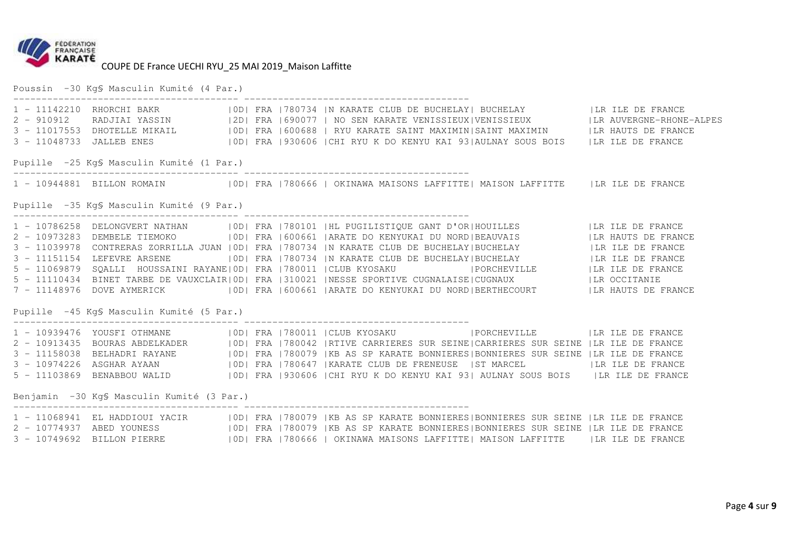

Poussin -30 Kg§ Masculin Kumité (4 Par.) ---------------------------------------- ---------------------------------------- 1 - 11142210 RHORCHI BAKR |0D| FRA |780734 |N KARATE CLUB DE BUCHELAY| BUCHELAY |LR ILE DE FRANCE 2 - 910912 RADJIAI YASSIN |2D| FRA |690077 | NO SEN KARATE VENISSIEUX|VENISSIEUX |LR AUVERGNE-RHONE-ALPES 3 - 11017553 DHOTELLE MIKAIL |0D| FRA |600688 | RYU KARATE SAINT MAXIMIN|SAINT MAXIMIN |LR HAUTS DE FRANCE 3 - 11048733 JALLEB ENES |0D| FRA |930606 |CHI RYU K DO KENYU KAI 93|AULNAY SOUS BOIS |LR ILE DE FRANCEPupille -25 Kg§ Masculin Kumité (1 Par.) ---------------------------------------- ---------------------------------------- 1 - 10944881 BILLON ROMAIN |OD| FRA |780666 | OKINAWA MAISONS LAFFITTE| MAISON LAFFITTE |LR ILE DE FRANCE Pupille -35 Kg§ Masculin Kumité (9 Par.) ---------------------------------------- ---------------------------------------- 1 - 10786258 DELONGVERT NATHAN |0D| FRA |780101 |HL PUGILISTIQUE GANT D'OR|HOUILLES |LR ILE DE FRANCE 2 - 10973283 DEMBELE TIEMOKO |0D| FRA |600661 |ARATE DO KENYUKAI DU NORD|BEAUVAIS |LR HAUTS DE FRANCE 3 - 11039978 CONTRERAS ZORRILLA JUAN |0D| FRA |780734 |N KARATE CLUB DE BUCHELAY|BUCHELAY |LR ILE DE FRANCE 3 - 11151154 LEFEVRE ARSENE |0D| FRA |780734 |N KARATE CLUB DE BUCHELAY|BUCHELAY |LR ILE DE FRANCE 5 - 11069879 SQALLI HOUSSAINI RAYANE|0D| FRA |780011 |CLUB KYOSAKU |PORCHEVILLE |LR ILE DE FRANCE 5 - 11110434 BINET TARBE DE VAUXCLAIR|0D| FRA |310021 |NESSE SPORTIVE CUGNALAISE|CUGNAUX |LR OCCITANIE 7 - 11148976 DOVE AYMERICK |0D| FRA |600661 |ARATE DO KENYUKAI DU NORD|BERTHECOURT |LR HAUTS DE FRANCE Pupille -45 Kg§ Masculin Kumité (5 Par.) ---------------------------------------- ----------------------------------------

1 - 10939476 YOUSFI OTHMANE | |OD| FRA |780011 |CLUB KYOSAKU | |PORCHEVILLE | LR ILE DE FRANCE<br>2 - 10913435 BOURAS ABDELKADER | |OD| FRA |780042 |RTIVE CARRIERES SUR SEINE|CARRIERES SUR SEINE |LR ILE DE FRANCE<br>3 - 11158038

---------------------------------------- ----------------------------------------

Benjamin -30 Kg§ Masculin Kumité (3 Par.)

1 - 11068941 EL HADDIOUI YACIR |OD| FRA |780079 |KB AS SP KARATE BONNIERES|BONNIERES SUR SEINE |LR ILE DE FRANCE<br>2 - 10774937 ABED YOUNESS |OD| FRA |780079 |KB AS SP KARATE BONNIERES|BONNIERES SUR SEINE 3 - 10749692 BILLON PIERRE |0D| FRA |780666 | OKINAWA MAISONS LAFFITTE| MAISON LAFFITTE |LR ILE DE FRANCE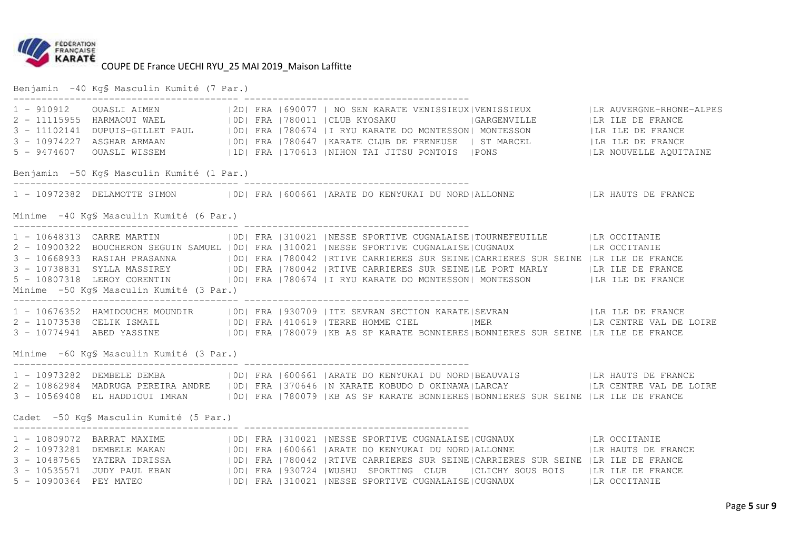

Benjamin -40 Kg§ Masculin Kumité (7 Par.) ---------------------------------------- ---------------------------------------- 1 - 910912 OUASLI AIMEN |2D| FRA |690077 | NO SEN KARATE VENISSIEUX|VENISSIEUX |LR AUVERGNE-RHONE-ALPES 2 - 11115955 HARMAOUI WAEL |0D| FRA |780011 |CLUB KYOSAKU |GARGENVILLE |LR ILE DE FRANCE 3 - 11102141 DUPUIS-GILLET PAUL |0D| FRA |780674 |I RYU KARATE DO MONTESSON| MONTESSON |LR ILE DE FRANCE 3 - 10974227 ASGHAR ARMAAN |0D| FRA |780647 |KARATE CLUB DE FRENEUSE |3 - 10974227 ASGHAR ARMAAN |OD| FRA |780647 |KARATE CLUB DE FRENEUSE | ST MARCEL |LR ILE DE FRANCE<br>5 - 9474607 OUASLI WISSEM |1D| FRA |170613 |NIHON TAI JITSU PONTOIS |PONS Benjamin -50 Kg§ Masculin Kumité (1 Par.) ---------------------------------------- ---------------------------------------- 1 - 10972382 DELAMOTTE SIMON |OD| FRA |600661 |ARATE DO KENYUKAI DU NORD|ALLONNE |LR HAUTS DE FRANCE Minime -40 Kg§ Masculin Kumité (6 Par.) ---------------------------------------- ---------------------------------------- 1 - 10648313 CARRE MARTIN |0D| FRA |310021 |NESSE SPORTIVE CUGNALAISE|TOURNEFEUILLE |LR OCCITANIE 2 - 10900322 BOUCHERON SEGUIN SAMUEL |OD| FRA |310021 |NESSE SPORTIVE CUGNALAISE|CUGNAUX |LR OCCITANIE 3 - 10668933 RASIAH PRASANNA |OD| FRA |780042 |RTIVE CARRIERES SUR SEINE|CARRIERES SUR SEINE |LR ILE DE FRANCE<br>3 - 10738831 SYLLA MASSIREY |OD| FRA |780042 |RTIVE CARRIERES SUR SEINE|LE PORT MARLY | Minime -50 Kg§ Masculin Kumité (3 Par.) ---------------------------------------- ---------------------------------------- 1 - 10676352 HAMIDOUCHE MOUNDIR |0D| FRA |930709 |ITE SEVRAN SECTION KARATE|SEVRAN |LR ILE DE FRANCE 2 - 11073538 CELIK ISMAIL |0D| FRA |410619 |TERRE HOMME CIEL |MER |LR CENTRE VAL DE LOIRE 3 - 10774941 ABED YASSINE |0D| FRA |780079 |KB AS SP KARATE BONNIERES|BONNIERES SUR SEINE |LR ILE DE FRANCE Minime -60 Kg§ Masculin Kumité (3 Par.) ---------------------------------------- ---------------------------------------- 1 - 10973282 DEMBELE DEMBA |OD| FRA |600661 |ARATE DO KENYUKAI DU NORD|BEAUVAIS |LR HAUTS DE FRANCE<br>2 - 10862984 MADRUGA PEREIRA ANDRE |OD| FRA |370646 |N KARATE KOBUDO D OKINAWA|LARCAY 3 - 10569408 EL HADDIOUI IMRAN |0D| FRA |780079 |KB AS SP KARATE BONNIERES|BONNIERES SUR SEINE |LR ILE DE FRANCE Cadet -50 Kg§ Masculin Kumité (5 Par.) ---------------------------------------- ---------------------------------------- 1 - 10809072 BARRAT MAXIME |OD| FRA |310021 |NESSE SPORTIVE CUGNALAISE|CUGNAUX |LR OCCITANIE<br>2 - 10973281 DEMBELE MAKAN |OD| FRA |600661 |ARATE DO KENYUKAI DU NORD|ALLONNE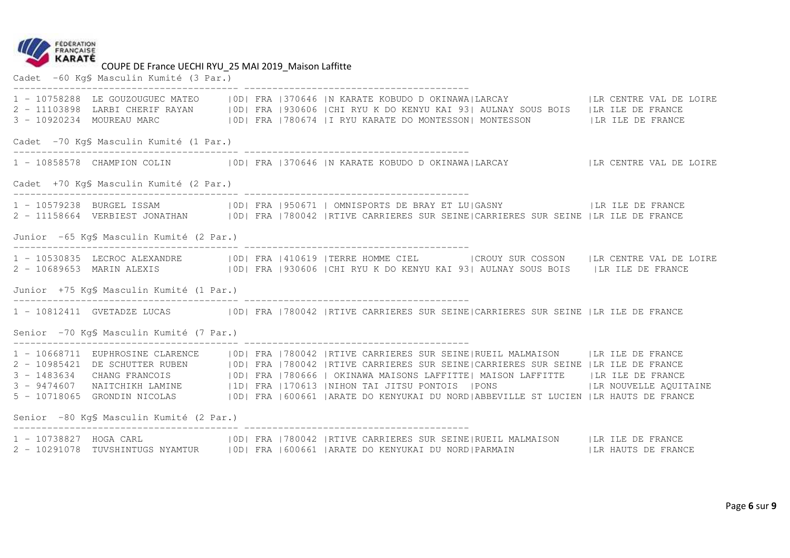

COUPE DE France UECHI RYU\_25 MAI 2019\_Maison Laffitte<br>Cadet -60 Kg§ Masculin Kumité (3 Par.)

|                                          |  | 1 - 10758288 LE GOUZOUGUEC MATEO   OD  FRA   370646   N KARATE KOBUDO D OKINAWA LARCAY     LA CENTRE VAL DE LOIRE<br>2 - 11103898 LARBI CHERIF RAYAN   0D  FRA   930606   CHI RYU K DO KENYU KAI 93   AULNAY SOUS BOIS   LR ILE DE FRANCE                                                                                                                                                                                                                                                                                                                                                               |  |
|------------------------------------------|--|---------------------------------------------------------------------------------------------------------------------------------------------------------------------------------------------------------------------------------------------------------------------------------------------------------------------------------------------------------------------------------------------------------------------------------------------------------------------------------------------------------------------------------------------------------------------------------------------------------|--|
| Cadet -70 KgS Masculin Kumité (1 Par.)   |  |                                                                                                                                                                                                                                                                                                                                                                                                                                                                                                                                                                                                         |  |
|                                          |  | 1 - 10858578 CHAMPION COLIN   OD  FRA   370646   N KARATE KOBUDO D OKINAWA   LARCAY     LA CENTRE VAL DE LOIRE                                                                                                                                                                                                                                                                                                                                                                                                                                                                                          |  |
| Cadet +70 KgS Masculin Kumité (2 Par.)   |  |                                                                                                                                                                                                                                                                                                                                                                                                                                                                                                                                                                                                         |  |
|                                          |  | 1 - 10579238 BURGEL ISSAM   0D  FRA   950671   OMNISPORTS DE BRAY ET LU  GASNY     LR ILE DE FRANCE<br>2 - 11158664 VERBIEST JONATHAN   OD  FRA   780042   RTIVE CARRIERES SUR SEINE  CARRIERES SUR SEINE   LR ILE DE FRANCE                                                                                                                                                                                                                                                                                                                                                                            |  |
| Junior -65 Kg\$ Masculin Kumité (2 Par.) |  |                                                                                                                                                                                                                                                                                                                                                                                                                                                                                                                                                                                                         |  |
|                                          |  | 1 - 10530835 LECROC ALEXANDRE   OD  FRA   410619   TERRE HOMME CIEL   CROUY SUR COSSON   LR CENTRE VAL DE LOIRE<br>2 - 10689653 MARIN ALEXIS (OD) FRA 1930606 CHI RYU K DO KENYU KAI 931 AULNAY SOUS BOIS (LR ILE DE FRANCE                                                                                                                                                                                                                                                                                                                                                                             |  |
| Junior +75 Kg\$ Masculin Kumité (1 Par.) |  |                                                                                                                                                                                                                                                                                                                                                                                                                                                                                                                                                                                                         |  |
|                                          |  | 1 - 10812411 GVETADZE LUCAS   OD  FRA   780042   RTIVE CARRIERES SUR SEINE  CARRIERES SUR SEINE   LR ILE DE FRANCE                                                                                                                                                                                                                                                                                                                                                                                                                                                                                      |  |
| Senior -70 Kg\$ Masculin Kumité (7 Par.) |  |                                                                                                                                                                                                                                                                                                                                                                                                                                                                                                                                                                                                         |  |
| Senior -80 Kq\$ Masculin Kumité (2 Par.) |  | 1 - 10668711 EUPHROSINE CLARENCE   OD  FRA   780042   RTIVE CARRIERES SUR SEINE   RUEIL MALMAISON   LR ILE DE FRANCE<br>2 - 10985421 DE SCHUTTER RUBEN   OD  FRA   780042   RTIVE CARRIERES SUR SEINE  CARRIERES SUR SEINE   LR ILE DE FRANCE<br>3 - 1483634 CHANG FRANCOIS   OD  FRA   780666   OKINAWA MAISONS LAFFITTE   MAISON LAFFITTE     LR ILE DE FRANCE<br>3 - 9474607 NAITCHIKH LAMINE   1D  FRA   170613   NIHON TAI JITSU PONTOIS   PONS     LR NOUVELLE AQUITAINE<br>5 - 10718065 GRONDIN NICOLAS   OD  FRA   600661   ARATE DO KENYUKAI DU NORD  ABBEVILLE ST LUCIEN   LR HAUTS DE FRANCE |  |
|                                          |  | 1 - 10738827 HOGA CARL (IDI FRA   780042   RTIVE CARRIERES SUR SEINE   RUEIL MALMAISON   LR ILE DE FRANCE<br>2 - 10291078 TUVSHINTUGS NYAMTUR (OD) FRA 600661 ARATE DO KENYUKAI DU NORD PARMAIN (LR HAUTS DE FRANCE                                                                                                                                                                                                                                                                                                                                                                                     |  |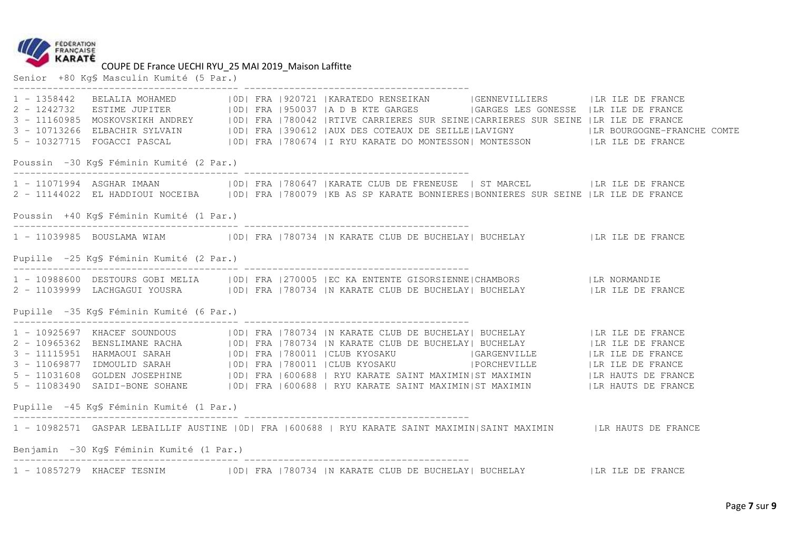

## COUPE DE France UECHI RYU\_25 MAI 2019\_Maison Laffitte Senior +80 Kg§ Masculin Kumité (5 Par.)

| $1 - 1358442$<br>$2 - 1242732$<br>$3 - 11160985$<br>$3 - 10713266$ | BELALIA MOHAMED                          |  |  | OD  FRA   920721   KARATEDO RENSEIKAN   GENNEVILLIERS   LA ILE DE FRANCE<br>ESTIME JUPITER   OD  FRA   950037   A D B KTE GARGES   GARGES LES GONESSE   LR ILE DE FRANCE<br>MOSKOVSKIKH ANDREY   OD  FRA  780042  RTIVE CARRIERES SUR SEINE CARRIERES SUR SEINE  LR ILE DE FRANCE<br>5 - 10327715 FOGACCI PASCAL (IDI FRA   780674   I RYU KARATE DO MONTESSON   MONTESSON     LIR ILE DE FRANCE                                                                       |  | ELBACHIR SYLVAIN   0D  FRA   390612   AUX DES COTEAUX DE SEILLE   LAVIGNY   LR BOURGOGNE-FRANCHE COMTE |  |  |  |  |
|--------------------------------------------------------------------|------------------------------------------|--|--|------------------------------------------------------------------------------------------------------------------------------------------------------------------------------------------------------------------------------------------------------------------------------------------------------------------------------------------------------------------------------------------------------------------------------------------------------------------------|--|--------------------------------------------------------------------------------------------------------|--|--|--|--|
|                                                                    | Poussin -30 Kq\$ Féminin Kumité (2 Par.) |  |  |                                                                                                                                                                                                                                                                                                                                                                                                                                                                        |  |                                                                                                        |  |  |  |  |
|                                                                    |                                          |  |  | 2 - 11144022 EL HADDIOUI NOCEIBA   OD  FRA   780079   KB AS SP KARATE BONNIERES  BONNIERES SUR SEINE   LR ILE DE FRANCE                                                                                                                                                                                                                                                                                                                                                |  |                                                                                                        |  |  |  |  |
|                                                                    | Poussin +40 KqS Féminin Kumité (1 Par.)  |  |  |                                                                                                                                                                                                                                                                                                                                                                                                                                                                        |  |                                                                                                        |  |  |  |  |
|                                                                    |                                          |  |  | 1 - 11039985 BOUSLAMA WIAM   OD  FRA   780734   N KARATE CLUB DE BUCHELAY   BUCHELAY     LR ILE DE FRANCE                                                                                                                                                                                                                                                                                                                                                              |  |                                                                                                        |  |  |  |  |
| Pupille -25 KgS Féminin Kumité (2 Par.)                            |                                          |  |  |                                                                                                                                                                                                                                                                                                                                                                                                                                                                        |  |                                                                                                        |  |  |  |  |
|                                                                    |                                          |  |  | 1 - 10988600 DESTOURS GOBI MELIA   OD  FRA   270005   EC KA ENTENTE GISORSIENNE   CHAMBORS   LR NORMANDIE                                                                                                                                                                                                                                                                                                                                                              |  |                                                                                                        |  |  |  |  |
|                                                                    | Pupille -35 KqS Féminin Kumité (6 Par.)  |  |  |                                                                                                                                                                                                                                                                                                                                                                                                                                                                        |  |                                                                                                        |  |  |  |  |
|                                                                    |                                          |  |  | 1 - 10925697 KHACEF SOUNDOUS   0D   FRA   780734   N KARATE CLUB DE BUCHELAY   BUCHELAY     LR ILE DE FRANCE<br>2 - 10965362 BENSLIMANE RACHA     OD   FRA   780734   N KARATE CLUB DE BUCHELAY   BUCHELAY     LR ILE DE FRANCE<br>5 - 11031608 GOLDEN JOSEPHINE   0D   FRA   600688   RYU KARATE SAINT MAXIMIN   ST MAXIMIN     LR HAUTS DE FRANCE<br>5 - 11083490 SAIDI-BONE SOHANE   OD  FRA   600688   RYU KARATE SAINT MAXIMIN  ST MAXIMIN     LR HAUTS DE FRANCE |  |                                                                                                        |  |  |  |  |
|                                                                    | Pupille -45 Kq\$ Féminin Kumité (1 Par.) |  |  |                                                                                                                                                                                                                                                                                                                                                                                                                                                                        |  |                                                                                                        |  |  |  |  |
|                                                                    |                                          |  |  | 1 - 10982571 GASPAR LEBAILLIF AUSTINE   OD   FRA   600688   RYU KARATE SAINT MAXIMIN   SAINT MAXIMIN   LR HAUTS DE FRANCE                                                                                                                                                                                                                                                                                                                                              |  |                                                                                                        |  |  |  |  |
| Benjamin -30 KgS Féminin Kumité (1 Par.)                           |                                          |  |  |                                                                                                                                                                                                                                                                                                                                                                                                                                                                        |  |                                                                                                        |  |  |  |  |
|                                                                    |                                          |  |  | 1 - 10857279 KHACEF TESNIM   0D  FRA   780734   N KARATE CLUB DE BUCHELAY   BUCHELAY     LR ILE DE FRANCE                                                                                                                                                                                                                                                                                                                                                              |  |                                                                                                        |  |  |  |  |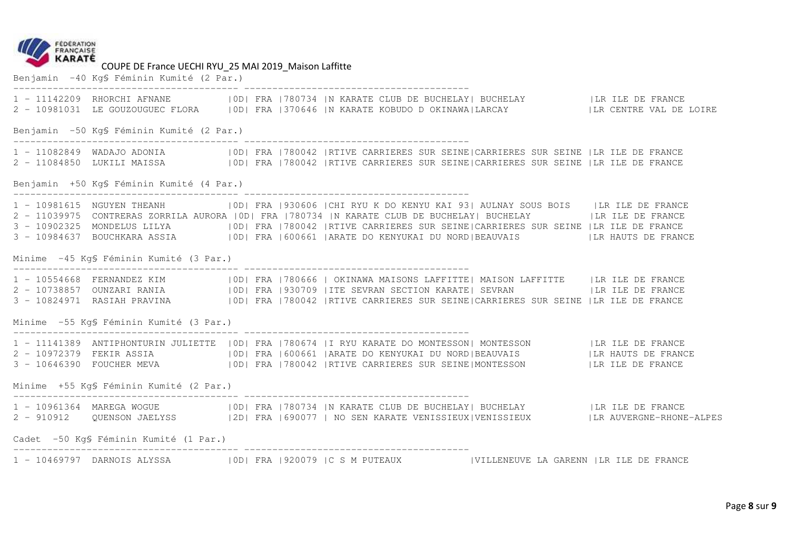

Benjamin -40 Kg§ Féminin Kumité (2 Par.)

|                                         |                                          |  |  |  | 1 - 11142209 RHORCHI AFNANE   OD  FRA   780734   N KARATE CLUB DE BUCHELAY   BUCHELAY   LIR ILE DE FRANCE<br>2 - 10981031 LE GOUZOUGUEC FLORA   OD  FRA   370646   N KARATE KOBUDO D OKINAWA  LARCAY     LA CENTRE VAL DE LOIRE                                                                                                                                                                                                                                           |  |                   |  |  |  |
|-----------------------------------------|------------------------------------------|--|--|--|---------------------------------------------------------------------------------------------------------------------------------------------------------------------------------------------------------------------------------------------------------------------------------------------------------------------------------------------------------------------------------------------------------------------------------------------------------------------------|--|-------------------|--|--|--|
|                                         | Benjamin -50 KgS Féminin Kumité (2 Par.) |  |  |  |                                                                                                                                                                                                                                                                                                                                                                                                                                                                           |  |                   |  |  |  |
|                                         |                                          |  |  |  | 1 - 11082849 WADAJO ADONIA   0D  FRA   780042   RTIVE CARRIERES SUR SEINE   CARRIERES SUR SEINE   LR ILE DE FRANCE<br>2 - 11084850 LUKILI MAISSA (OD) FRA 1780042  RTIVE CARRIERES SUR SEINE CARRIERES SUR SEINE  LR ILE DE FRANCE                                                                                                                                                                                                                                        |  |                   |  |  |  |
|                                         | Benjamin +50 KgS Féminin Kumité (4 Par.) |  |  |  |                                                                                                                                                                                                                                                                                                                                                                                                                                                                           |  |                   |  |  |  |
|                                         |                                          |  |  |  | 1 - 10981615 NGUYEN THEANH   OD  FRA   930606   CHI RYU K DO KENYU KAI 93  AULNAY SOUS BOIS   LR ILE DE FRANCE<br>2 - 11039975 CONTRERAS ZORRILA AURORA   0D   FRA   780734   N KARATE CLUB DE BUCHELAY   BUCHELAY   LA ILE DE FRANCE<br>3 - 10902325 MONDELUS LILYA   OD  FRA   780042   RTIVE CARRIERES SUR SEINE  CARRIERES SUR SEINE   LR ILE DE FRANCE<br>3 - 10984637 BOUCHKARA ASSIA   OD  FRA   600661   ARATE DO KENYUKAI DU NORD  BEAUVAIS   LA HAUTS DE FRANCE |  |                   |  |  |  |
| Minime -45 Kg\$ Féminin Kumité (3 Par.) |                                          |  |  |  |                                                                                                                                                                                                                                                                                                                                                                                                                                                                           |  |                   |  |  |  |
|                                         |                                          |  |  |  | 2 - 10738857 OUNZARI RANIA<br>3 - 10824971 RASIAH PRAVINA (IDI FRA 1930709   ITE SEVRAN SECTION KARATE   SEVRAN (IR ILE DE FRANCE                                                                                                                                                                                                                                                                                                                                         |  |                   |  |  |  |
|                                         | Minime -55 Kq\$ Féminin Kumité (3 Par.)  |  |  |  | .composition.com/induction.com/induction/induction/induction/induction/induction                                                                                                                                                                                                                                                                                                                                                                                          |  |                   |  |  |  |
|                                         |                                          |  |  |  | 1 - 11141389 ANTIPHONTURIN JULIETTE   OD  FRA   780674   I RYU KARATE DO MONTESSON  MONTESSON   LR ILE DE FRANCE<br>2 - 10972379 FEKIR ASSIA (IOD) FRA 600661   ARATE DO KENYUKAI DU NORD   BEAUVAIS   LA HAUTS DE FRANCE<br>3 - 10646390 FOUCHER MEVA (OD) FRA 780042  RTIVE CARRIERES SUR SEINE MONTESSON                                                                                                                                                               |  | ILR ILE DE FRANCE |  |  |  |
|                                         | Minime +55 Kg\$ Féminin Kumité (2 Par.)  |  |  |  |                                                                                                                                                                                                                                                                                                                                                                                                                                                                           |  |                   |  |  |  |
|                                         |                                          |  |  |  | 1 - 10961364 MAREGA WOGUE   0D   FRA   780734   N KARATE CLUB DE BUCHELAY   BUCHELAY     LR ILE DE FRANCE<br>2 - 910912 QUENSON JAELYSS   2D   FRA   690077   NO SEN KARATE VENISSIEUX   VENISSIEUX   LR AUVERGNE-RHONE-ALPES                                                                                                                                                                                                                                             |  |                   |  |  |  |
|                                         | Cadet -50 KgS Féminin Kumité (1 Par.)    |  |  |  |                                                                                                                                                                                                                                                                                                                                                                                                                                                                           |  |                   |  |  |  |
|                                         |                                          |  |  |  | 1 - 10469797 DARNOIS ALYSSA   0D  FRA   920079   C S M PUTEAUX   VILLENEUVE LA GARENN   LR ILE DE FRANCE                                                                                                                                                                                                                                                                                                                                                                  |  |                   |  |  |  |